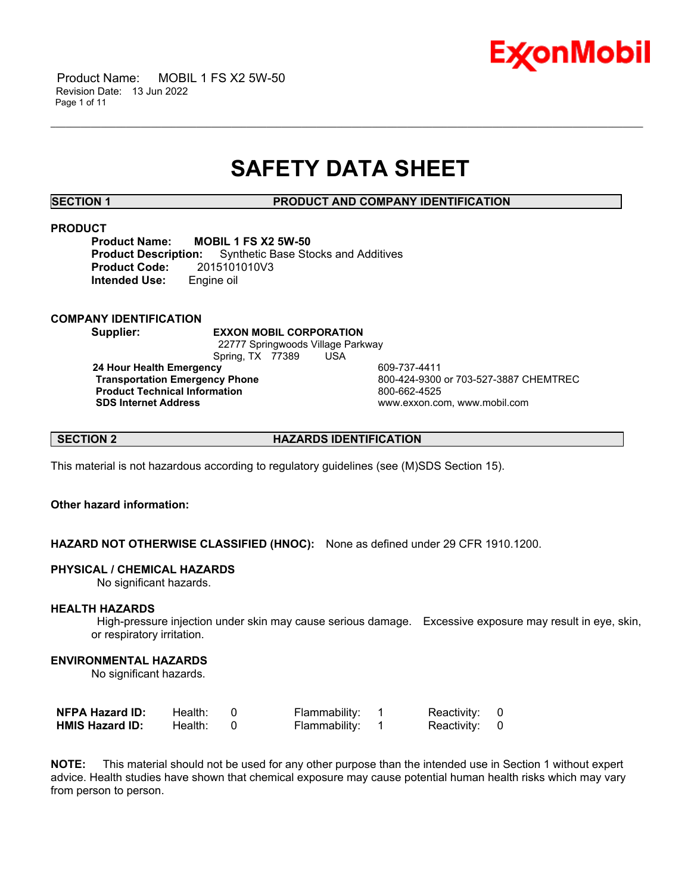

 Product Name: MOBIL 1 FS X2 5W-50 Revision Date: 13 Jun 2022 Page 1 of 11

## **SAFETY DATA SHEET**

\_\_\_\_\_\_\_\_\_\_\_\_\_\_\_\_\_\_\_\_\_\_\_\_\_\_\_\_\_\_\_\_\_\_\_\_\_\_\_\_\_\_\_\_\_\_\_\_\_\_\_\_\_\_\_\_\_\_\_\_\_\_\_\_\_\_\_\_\_\_\_\_\_\_\_\_\_\_\_\_\_\_\_\_\_\_\_\_\_\_\_\_\_\_\_\_\_\_\_\_\_\_\_\_\_\_\_\_\_\_\_\_\_\_\_\_\_\_

**SECTION 1 PRODUCT AND COMPANY IDENTIFICATION**

#### **PRODUCT**

**Product Name: MOBIL 1 FS X2 5W-50 Synthetic Base Stocks and Additives Product Code:** 2015101010V3 **Intended Use:** Engine oil

#### **COMPANY IDENTIFICATION**

**Supplier: EXXON MOBIL CORPORATION**

22777 Springwoods Village Parkway Spring, TX 77389 USA

**24 Hour Health Emergency** 609-737-4411 **Product Technical Information**<br> **SDS Internet Address**<br>
SDS Internet Address

**Transportation Emergency Phone** 800-424-9300 or 703-527-3887 CHEMTREC **SDS Internet Address** www.exxon.com, www.mobil.com

**SECTION 2 HAZARDS IDENTIFICATION**

This material is not hazardous according to regulatory guidelines (see (M)SDS Section 15).

### **Other hazard information:**

**HAZARD NOT OTHERWISE CLASSIFIED (HNOC):** None as defined under 29 CFR 1910.1200.

#### **PHYSICAL / CHEMICAL HAZARDS**

No significant hazards.

#### **HEALTH HAZARDS**

High-pressure injection under skin may cause serious damage. Excessive exposure may result in eye, skin, or respiratory irritation.

#### **ENVIRONMENTAL HAZARDS**

No significant hazards.

| <b>NFPA Hazard ID:</b> | Health: | Flammability: | Reactivity: 0 |  |
|------------------------|---------|---------------|---------------|--|
| <b>HMIS Hazard ID:</b> | Health: | Flammability: | Reactivity: 0 |  |

**NOTE:** This material should not be used for any other purpose than the intended use in Section 1 without expert advice. Health studies have shown that chemical exposure may cause potential human health risks which may vary from person to person.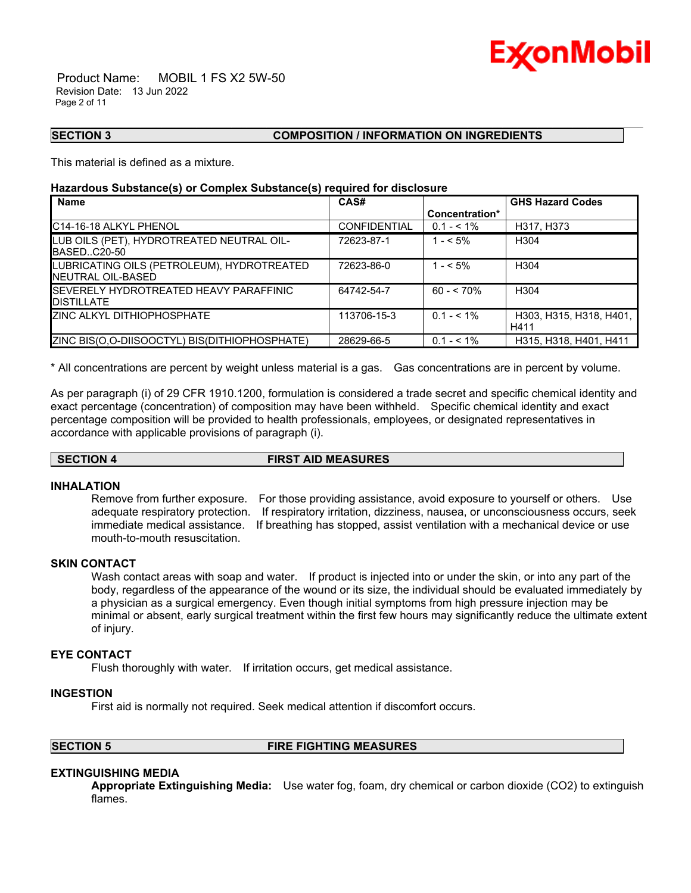

 Product Name: MOBIL 1 FS X2 5W-50 Revision Date: 13 Jun 2022 Page 2 of 11

#### **SECTION 3 COMPOSITION / INFORMATION ON INGREDIENTS**

This material is defined as a mixture.

#### **Hazardous Substance(s) or Complex Substance(s) required for disclosure**

| <b>Name</b>                                                             | CAS#                |                | <b>GHS Hazard Codes</b>         |
|-------------------------------------------------------------------------|---------------------|----------------|---------------------------------|
|                                                                         |                     | Concentration* |                                 |
| C14-16-18 ALKYL PHENOL                                                  | <b>CONFIDENTIAL</b> | $0.1 - 5.1\%$  | H317, H373                      |
| LUB OILS (PET), HYDROTREATED NEUTRAL OIL-<br>IBASEDC20-50               | 72623-87-1          | $1 - 5\%$      | H304                            |
| LUBRICATING OILS (PETROLEUM), HYDROTREATED<br><b>INEUTRAL OIL-BASED</b> | 72623-86-0          | $1 - 5\%$      | H304                            |
| <b>ISEVERELY HYDROTREATED HEAVY PARAFFINIC</b><br><b>DISTILLATE</b>     | 64742-54-7          | $60 - 570%$    | H304                            |
| <b>ZINC ALKYL DITHIOPHOSPHATE</b>                                       | 113706-15-3         | $0.1 - 5.1\%$  | H303, H315, H318, H401,<br>H411 |
| ZINC BIS(O,O-DIISOOCTYL) BIS(DITHIOPHOSPHATE)                           | 28629-66-5          | $0.1 - 5.1\%$  | H315, H318, H401, H411          |

\_\_\_\_\_\_\_\_\_\_\_\_\_\_\_\_\_\_\_\_\_\_\_\_\_\_\_\_\_\_\_\_\_\_\_\_\_\_\_\_\_\_\_\_\_\_\_\_\_\_\_\_\_\_\_\_\_\_\_\_\_\_\_\_\_\_\_\_\_\_\_\_\_\_\_\_\_\_\_\_\_\_\_\_\_\_\_\_\_\_\_\_\_\_\_\_\_\_\_\_\_\_\_\_\_\_\_\_\_\_\_\_\_\_\_\_\_\_

\* All concentrations are percent by weight unless material is a gas. Gas concentrations are in percent by volume.

As per paragraph (i) of 29 CFR 1910.1200, formulation is considered a trade secret and specific chemical identity and exact percentage (concentration) of composition may have been withheld. Specific chemical identity and exact percentage composition will be provided to health professionals, employees, or designated representatives in accordance with applicable provisions of paragraph (i).

#### **SECTION 4 FIRST AID MEASURES**

#### **INHALATION**

Remove from further exposure. For those providing assistance, avoid exposure to yourself or others. Use adequate respiratory protection. If respiratory irritation, dizziness, nausea, or unconsciousness occurs, seek immediate medical assistance. If breathing has stopped, assist ventilation with a mechanical device or use mouth-to-mouth resuscitation.

#### **SKIN CONTACT**

Wash contact areas with soap and water. If product is injected into or under the skin, or into any part of the body, regardless of the appearance of the wound or its size, the individual should be evaluated immediately by a physician as a surgical emergency. Even though initial symptoms from high pressure injection may be minimal or absent, early surgical treatment within the first few hours may significantly reduce the ultimate extent of injury.

#### **EYE CONTACT**

Flush thoroughly with water. If irritation occurs, get medical assistance.

#### **INGESTION**

First aid is normally not required. Seek medical attention if discomfort occurs.

#### **SECTION 5 FIRE FIGHTING MEASURES**

#### **EXTINGUISHING MEDIA**

**Appropriate Extinguishing Media:** Use water fog, foam, dry chemical or carbon dioxide (CO2) to extinguish flames.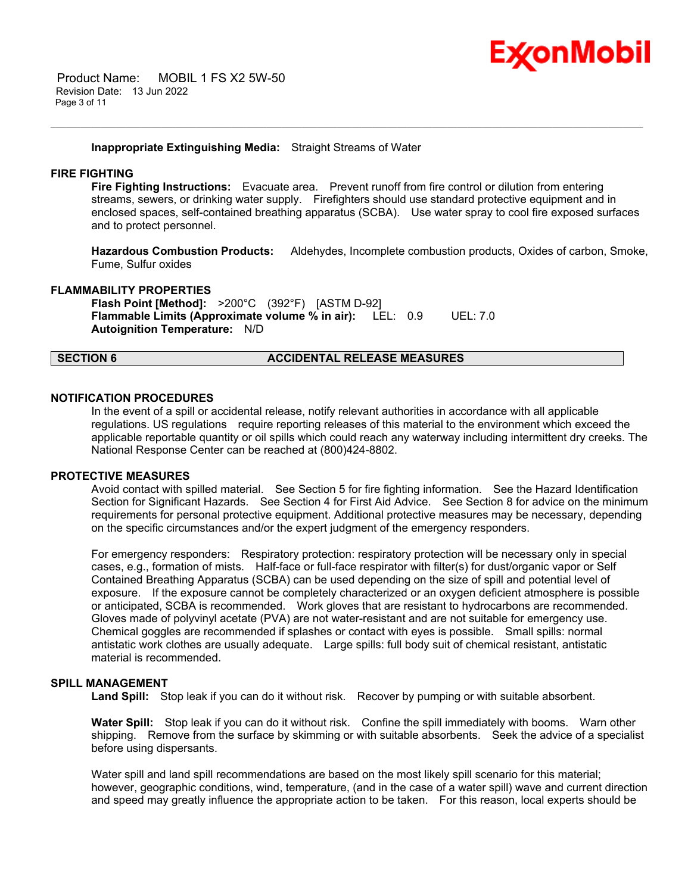

 Product Name: MOBIL 1 FS X2 5W-50 Revision Date: 13 Jun 2022 Page 3 of 11

#### **Inappropriate Extinguishing Media:** Straight Streams of Water

#### **FIRE FIGHTING**

**Fire Fighting Instructions:** Evacuate area. Prevent runoff from fire control or dilution from entering streams, sewers, or drinking water supply. Firefighters should use standard protective equipment and in enclosed spaces, self-contained breathing apparatus (SCBA). Use water spray to cool fire exposed surfaces and to protect personnel.

\_\_\_\_\_\_\_\_\_\_\_\_\_\_\_\_\_\_\_\_\_\_\_\_\_\_\_\_\_\_\_\_\_\_\_\_\_\_\_\_\_\_\_\_\_\_\_\_\_\_\_\_\_\_\_\_\_\_\_\_\_\_\_\_\_\_\_\_\_\_\_\_\_\_\_\_\_\_\_\_\_\_\_\_\_\_\_\_\_\_\_\_\_\_\_\_\_\_\_\_\_\_\_\_\_\_\_\_\_\_\_\_\_\_\_\_\_\_

**Hazardous Combustion Products:** Aldehydes, Incomplete combustion products, Oxides of carbon, Smoke, Fume, Sulfur oxides

#### **FLAMMABILITY PROPERTIES**

**Flash Point [Method]:** >200°C (392°F) [ASTM D-92] **Flammable Limits (Approximate volume % in air):** LEL: 0.9 UEL: 7.0 **Autoignition Temperature:** N/D

### **SECTION 6 ACCIDENTAL RELEASE MEASURES**

#### **NOTIFICATION PROCEDURES**

In the event of a spill or accidental release, notify relevant authorities in accordance with all applicable regulations. US regulations require reporting releases of this material to the environment which exceed the applicable reportable quantity or oil spills which could reach any waterway including intermittent dry creeks. The National Response Center can be reached at (800)424-8802.

#### **PROTECTIVE MEASURES**

Avoid contact with spilled material. See Section 5 for fire fighting information. See the Hazard Identification Section for Significant Hazards. See Section 4 for First Aid Advice. See Section 8 for advice on the minimum requirements for personal protective equipment. Additional protective measures may be necessary, depending on the specific circumstances and/or the expert judgment of the emergency responders.

For emergency responders: Respiratory protection: respiratory protection will be necessary only in special cases, e.g., formation of mists. Half-face or full-face respirator with filter(s) for dust/organic vapor or Self Contained Breathing Apparatus (SCBA) can be used depending on the size of spill and potential level of exposure. If the exposure cannot be completely characterized or an oxygen deficient atmosphere is possible or anticipated, SCBA is recommended. Work gloves that are resistant to hydrocarbons are recommended. Gloves made of polyvinyl acetate (PVA) are not water-resistant and are not suitable for emergency use. Chemical goggles are recommended if splashes or contact with eyes is possible. Small spills: normal antistatic work clothes are usually adequate. Large spills: full body suit of chemical resistant, antistatic material is recommended.

### **SPILL MANAGEMENT**

**Land Spill:** Stop leak if you can do it without risk. Recover by pumping or with suitable absorbent.

**Water Spill:** Stop leak if you can do it without risk. Confine the spill immediately with booms. Warn other shipping. Remove from the surface by skimming or with suitable absorbents. Seek the advice of a specialist before using dispersants.

Water spill and land spill recommendations are based on the most likely spill scenario for this material; however, geographic conditions, wind, temperature, (and in the case of a water spill) wave and current direction and speed may greatly influence the appropriate action to be taken. For this reason, local experts should be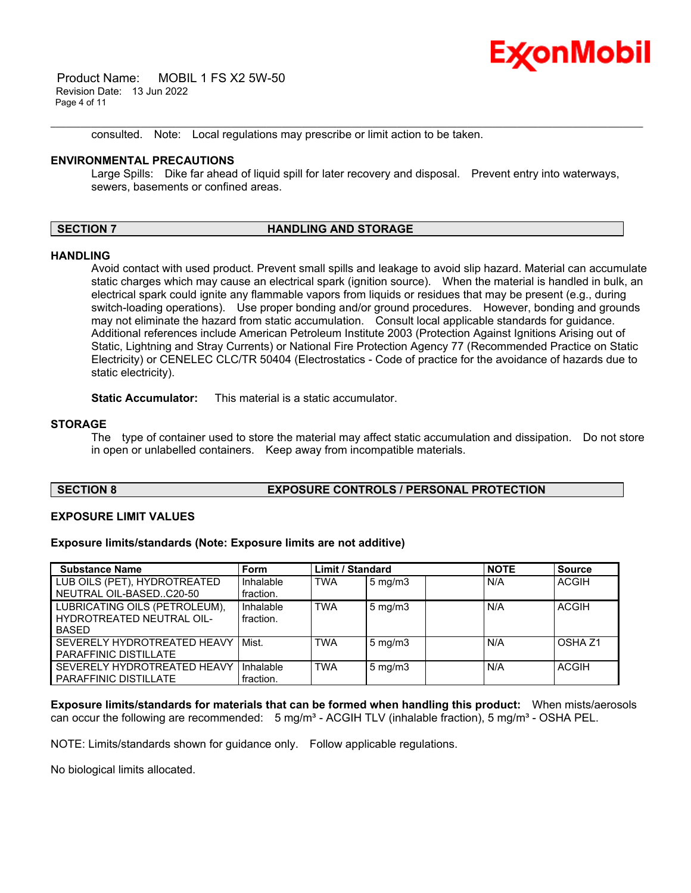

 Product Name: MOBIL 1 FS X2 5W-50 Revision Date: 13 Jun 2022 Page 4 of 11

consulted. Note: Local regulations may prescribe or limit action to be taken.

#### **ENVIRONMENTAL PRECAUTIONS**

Large Spills: Dike far ahead of liquid spill for later recovery and disposal. Prevent entry into waterways, sewers, basements or confined areas.

\_\_\_\_\_\_\_\_\_\_\_\_\_\_\_\_\_\_\_\_\_\_\_\_\_\_\_\_\_\_\_\_\_\_\_\_\_\_\_\_\_\_\_\_\_\_\_\_\_\_\_\_\_\_\_\_\_\_\_\_\_\_\_\_\_\_\_\_\_\_\_\_\_\_\_\_\_\_\_\_\_\_\_\_\_\_\_\_\_\_\_\_\_\_\_\_\_\_\_\_\_\_\_\_\_\_\_\_\_\_\_\_\_\_\_\_\_\_

#### **SECTION 7 HANDLING AND STORAGE**

#### **HANDLING**

Avoid contact with used product. Prevent small spills and leakage to avoid slip hazard. Material can accumulate static charges which may cause an electrical spark (ignition source). When the material is handled in bulk, an electrical spark could ignite any flammable vapors from liquids or residues that may be present (e.g., during switch-loading operations). Use proper bonding and/or ground procedures. However, bonding and grounds may not eliminate the hazard from static accumulation. Consult local applicable standards for guidance. Additional references include American Petroleum Institute 2003 (Protection Against Ignitions Arising out of Static, Lightning and Stray Currents) or National Fire Protection Agency 77 (Recommended Practice on Static Electricity) or CENELEC CLC/TR 50404 (Electrostatics - Code of practice for the avoidance of hazards due to static electricity).

**Static Accumulator:** This material is a static accumulator.

#### **STORAGE**

The type of container used to store the material may affect static accumulation and dissipation. Do not store in open or unlabelled containers. Keep away from incompatible materials.

#### **SECTION 8 EXPOSURE CONTROLS / PERSONAL PROTECTION**

#### **EXPOSURE LIMIT VALUES**

**Exposure limits/standards (Note: Exposure limits are not additive)**

| <b>Substance Name</b>         | <b>Form</b> | <b>Limit / Standard</b> |                  | <b>NOTE</b> | <b>Source</b> |
|-------------------------------|-------------|-------------------------|------------------|-------------|---------------|
| LUB OILS (PET), HYDROTREATED  | Inhalable   | <b>TWA</b>              | $5 \text{ mg/m}$ | N/A         | <b>ACGIH</b>  |
| NEUTRAL OIL-BASEDC20-50       | fraction.   |                         |                  |             |               |
| LUBRICATING OILS (PETROLEUM), | Inhalable   | <b>TWA</b>              | $5 \text{ mg/m}$ | N/A         | <b>ACGIH</b>  |
| HYDROTREATED NEUTRAL OIL-     | fraction.   |                         |                  |             |               |
| <b>BASED</b>                  |             |                         |                  |             |               |
| SEVERELY HYDROTREATED HEAVY   | Mist.       | <b>TWA</b>              | $5 \text{ mg/m}$ | N/A         | OSHA 71       |
| <b>PARAFFINIC DISTILLATE</b>  |             |                         |                  |             |               |
| SEVERELY HYDROTREATED HEAVY   | Inhalable   | <b>TWA</b>              | $5 \text{ mg/m}$ | N/A         | <b>ACGIH</b>  |
| <b>PARAFFINIC DISTILLATE</b>  | fraction.   |                         |                  |             |               |

**Exposure limits/standards for materials that can be formed when handling this product:** When mists/aerosols can occur the following are recommended:  $5 \text{ mg/m}^3$  - ACGIH TLV (inhalable fraction),  $5 \text{ mg/m}^3$  - OSHA PEL.

NOTE: Limits/standards shown for guidance only. Follow applicable regulations.

No biological limits allocated.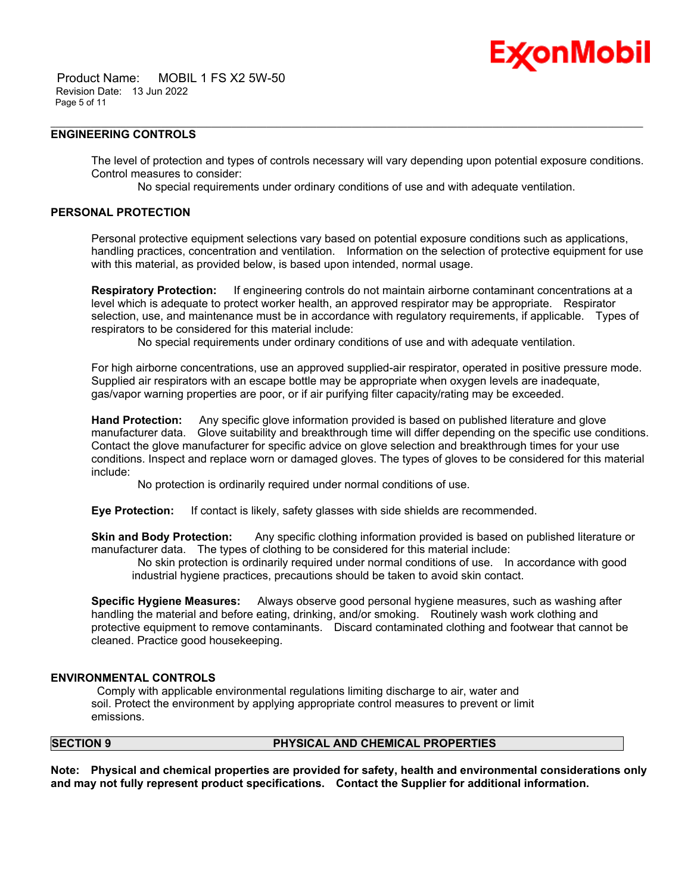## Ex⁄onMobil

 Product Name: MOBIL 1 FS X2 5W-50 Revision Date: 13 Jun 2022 Page 5 of 11

#### **ENGINEERING CONTROLS**

The level of protection and types of controls necessary will vary depending upon potential exposure conditions. Control measures to consider:

No special requirements under ordinary conditions of use and with adequate ventilation.

\_\_\_\_\_\_\_\_\_\_\_\_\_\_\_\_\_\_\_\_\_\_\_\_\_\_\_\_\_\_\_\_\_\_\_\_\_\_\_\_\_\_\_\_\_\_\_\_\_\_\_\_\_\_\_\_\_\_\_\_\_\_\_\_\_\_\_\_\_\_\_\_\_\_\_\_\_\_\_\_\_\_\_\_\_\_\_\_\_\_\_\_\_\_\_\_\_\_\_\_\_\_\_\_\_\_\_\_\_\_\_\_\_\_\_\_\_\_

#### **PERSONAL PROTECTION**

Personal protective equipment selections vary based on potential exposure conditions such as applications, handling practices, concentration and ventilation. Information on the selection of protective equipment for use with this material, as provided below, is based upon intended, normal usage.

**Respiratory Protection:** If engineering controls do not maintain airborne contaminant concentrations at a level which is adequate to protect worker health, an approved respirator may be appropriate. Respirator selection, use, and maintenance must be in accordance with regulatory requirements, if applicable. Types of respirators to be considered for this material include:

No special requirements under ordinary conditions of use and with adequate ventilation.

For high airborne concentrations, use an approved supplied-air respirator, operated in positive pressure mode. Supplied air respirators with an escape bottle may be appropriate when oxygen levels are inadequate, gas/vapor warning properties are poor, or if air purifying filter capacity/rating may be exceeded.

**Hand Protection:** Any specific glove information provided is based on published literature and glove manufacturer data. Glove suitability and breakthrough time will differ depending on the specific use conditions. Contact the glove manufacturer for specific advice on glove selection and breakthrough times for your use conditions. Inspect and replace worn or damaged gloves. The types of gloves to be considered for this material include:

No protection is ordinarily required under normal conditions of use.

**Eye Protection:** If contact is likely, safety glasses with side shields are recommended.

**Skin and Body Protection:** Any specific clothing information provided is based on published literature or manufacturer data. The types of clothing to be considered for this material include:

No skin protection is ordinarily required under normal conditions of use. In accordance with good industrial hygiene practices, precautions should be taken to avoid skin contact.

**Specific Hygiene Measures:** Always observe good personal hygiene measures, such as washing after handling the material and before eating, drinking, and/or smoking. Routinely wash work clothing and protective equipment to remove contaminants. Discard contaminated clothing and footwear that cannot be cleaned. Practice good housekeeping.

#### **ENVIRONMENTAL CONTROLS**

Comply with applicable environmental regulations limiting discharge to air, water and soil. Protect the environment by applying appropriate control measures to prevent or limit emissions.

#### **SECTION 9 PHYSICAL AND CHEMICAL PROPERTIES**

**Note: Physical and chemical properties are provided for safety, health and environmental considerations only and may not fully represent product specifications. Contact the Supplier for additional information.**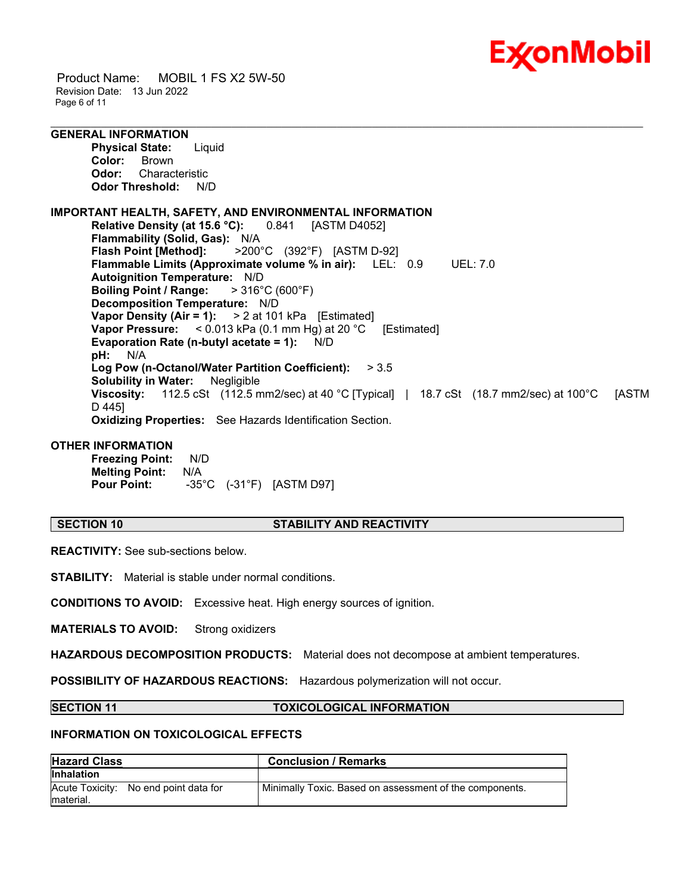

 Product Name: MOBIL 1 FS X2 5W-50 Revision Date: 13 Jun 2022 Page 6 of 11

### **GENERAL INFORMATION**

**Physical State:** Liquid **Color:** Brown **Odor:** Characteristic **Odor Threshold:** N/D

#### **IMPORTANT HEALTH, SAFETY, AND ENVIRONMENTAL INFORMATION Relative Density (at 15.6 °C):** 0.841 [ASTM D4052] **Flammability (Solid, Gas):** N/A **Flash Point [Method]:** >200°C (392°F) [ASTM D-92] **Flammable Limits (Approximate volume % in air):** LEL: 0.9 UEL: 7.0 **Autoignition Temperature:** N/D **Boiling Point / Range:** > 316°C (600°F) **Decomposition Temperature:** N/D **Vapor Density (Air = 1):** > 2 at 101 kPa [Estimated] **Vapor Pressure:** < 0.013 kPa (0.1 mm Hg) at 20 °C [Estimated] **Evaporation Rate (n-butyl acetate = 1):** N/D **pH:** N/A **Log Pow (n-Octanol/Water Partition Coefficient):** > 3.5 **Solubility in Water:** Negligible **Viscosity:** 112.5 cSt (112.5 mm2/sec) at 40 °C [Typical] | 18.7 cSt (18.7 mm2/sec) at 100°C [ASTM D 445] **Oxidizing Properties:** See Hazards Identification Section.

\_\_\_\_\_\_\_\_\_\_\_\_\_\_\_\_\_\_\_\_\_\_\_\_\_\_\_\_\_\_\_\_\_\_\_\_\_\_\_\_\_\_\_\_\_\_\_\_\_\_\_\_\_\_\_\_\_\_\_\_\_\_\_\_\_\_\_\_\_\_\_\_\_\_\_\_\_\_\_\_\_\_\_\_\_\_\_\_\_\_\_\_\_\_\_\_\_\_\_\_\_\_\_\_\_\_\_\_\_\_\_\_\_\_\_\_\_\_

### **OTHER INFORMATION**

**Freezing Point:** N/D **Melting Point:** N/A **Pour Point:** -35°C (-31°F) [ASTM D97]

#### **SECTION 10 STABILITY AND REACTIVITY**

**REACTIVITY:** See sub-sections below.

**STABILITY:** Material is stable under normal conditions.

**CONDITIONS TO AVOID:** Excessive heat. High energy sources of ignition.

**MATERIALS TO AVOID:** Strong oxidizers

**HAZARDOUS DECOMPOSITION PRODUCTS:** Material does not decompose at ambient temperatures.

**POSSIBILITY OF HAZARDOUS REACTIONS:** Hazardous polymerization will not occur.

#### **SECTION 11 TOXICOLOGICAL INFORMATION**

#### **INFORMATION ON TOXICOLOGICAL EFFECTS**

| <b>Hazard Class</b>                                | <b>Conclusion / Remarks</b>                             |
|----------------------------------------------------|---------------------------------------------------------|
| <b>Inhalation</b>                                  |                                                         |
| Acute Toxicity: No end point data for<br>material. | Minimally Toxic. Based on assessment of the components. |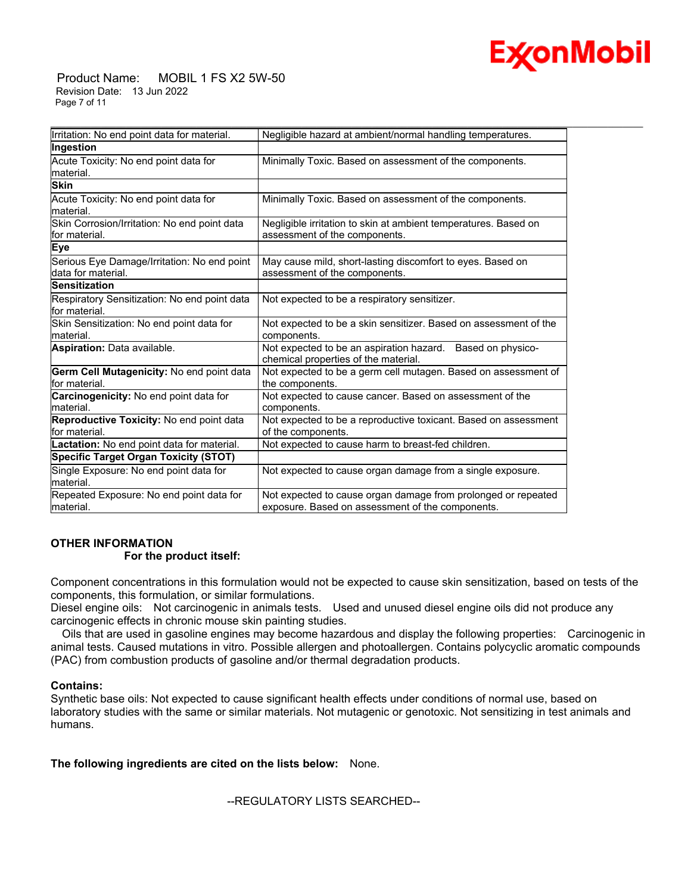# Ex⁄onMobil

 Product Name: MOBIL 1 FS X2 5W-50 Revision Date: 13 Jun 2022 Page 7 of 11

| Irritation: No end point data for material.                        | Negligible hazard at ambient/normal handling temperatures.                                                        |  |  |
|--------------------------------------------------------------------|-------------------------------------------------------------------------------------------------------------------|--|--|
| Ingestion                                                          |                                                                                                                   |  |  |
| Acute Toxicity: No end point data for<br>lmaterial.                | Minimally Toxic. Based on assessment of the components.                                                           |  |  |
| <b>Skin</b>                                                        |                                                                                                                   |  |  |
| Acute Toxicity: No end point data for<br>lmaterial.                | Minimally Toxic. Based on assessment of the components.                                                           |  |  |
| Skin Corrosion/Irritation: No end point data<br>lfor material.     | Negligible irritation to skin at ambient temperatures. Based on<br>assessment of the components.                  |  |  |
| Eye                                                                |                                                                                                                   |  |  |
| Serious Eye Damage/Irritation: No end point<br>ldata for material. | May cause mild, short-lasting discomfort to eyes. Based on<br>assessment of the components.                       |  |  |
| Sensitization                                                      |                                                                                                                   |  |  |
| Respiratory Sensitization: No end point data<br>lfor material.     | Not expected to be a respiratory sensitizer.                                                                      |  |  |
| Skin Sensitization: No end point data for<br>lmaterial.            | Not expected to be a skin sensitizer. Based on assessment of the<br>components.                                   |  |  |
| <b>Aspiration: Data available.</b>                                 | Not expected to be an aspiration hazard. Based on physico-<br>chemical properties of the material.                |  |  |
| Germ Cell Mutagenicity: No end point data<br>lfor material.        | Not expected to be a germ cell mutagen. Based on assessment of<br>the components.                                 |  |  |
| Carcinogenicity: No end point data for<br>lmaterial.               | Not expected to cause cancer. Based on assessment of the<br>components.                                           |  |  |
| Reproductive Toxicity: No end point data<br>lfor material.         | Not expected to be a reproductive toxicant. Based on assessment<br>of the components.                             |  |  |
| Lactation: No end point data for material.                         | Not expected to cause harm to breast-fed children.                                                                |  |  |
| Specific Target Organ Toxicity (STOT)                              |                                                                                                                   |  |  |
| Single Exposure: No end point data for<br>Imaterial.               | Not expected to cause organ damage from a single exposure.                                                        |  |  |
| Repeated Exposure: No end point data for<br>material.              | Not expected to cause organ damage from prolonged or repeated<br>exposure. Based on assessment of the components. |  |  |

\_\_\_\_\_\_\_\_\_\_\_\_\_\_\_\_\_\_\_\_\_\_\_\_\_\_\_\_\_\_\_\_\_\_\_\_\_\_\_\_\_\_\_\_\_\_\_\_\_\_\_\_\_\_\_\_\_\_\_\_\_\_\_\_\_\_\_\_\_\_\_\_\_\_\_\_\_\_\_\_\_\_\_\_\_\_\_\_\_\_\_\_\_\_\_\_\_\_\_\_\_\_\_\_\_\_\_\_\_\_\_\_\_\_\_\_\_\_

### **OTHER INFORMATION For the product itself:**

Component concentrations in this formulation would not be expected to cause skin sensitization, based on tests of the components, this formulation, or similar formulations.

Diesel engine oils: Not carcinogenic in animals tests. Used and unused diesel engine oils did not produce any carcinogenic effects in chronic mouse skin painting studies.

 Oils that are used in gasoline engines may become hazardous and display the following properties: Carcinogenic in animal tests. Caused mutations in vitro. Possible allergen and photoallergen. Contains polycyclic aromatic compounds (PAC) from combustion products of gasoline and/or thermal degradation products.

### **Contains:**

Synthetic base oils: Not expected to cause significant health effects under conditions of normal use, based on laboratory studies with the same or similar materials. Not mutagenic or genotoxic. Not sensitizing in test animals and humans.

**The following ingredients are cited on the lists below:** None.

--REGULATORY LISTS SEARCHED--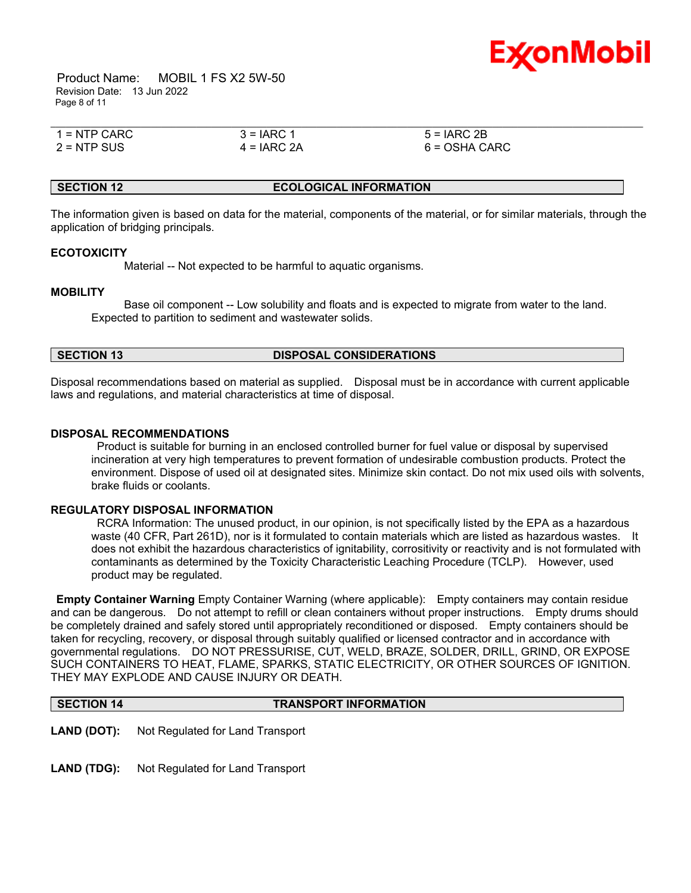

 Product Name: MOBIL 1 FS X2 5W-50 Revision Date: 13 Jun 2022 Page 8 of 11

| $1 =$ NTP CARC | $3 = IARC 1$  | $5 = IARC 2B$   |  |
|----------------|---------------|-----------------|--|
| $2 =$ NTP SUS  | $4 = IARC 2A$ | $6 = OSHA CARC$ |  |

#### **SECTION 12 ECOLOGICAL INFORMATION**

The information given is based on data for the material, components of the material, or for similar materials, through the application of bridging principals.

#### **ECOTOXICITY**

Material -- Not expected to be harmful to aquatic organisms.

#### **MOBILITY**

 Base oil component -- Low solubility and floats and is expected to migrate from water to the land. Expected to partition to sediment and wastewater solids.

#### **SECTION 13 DISPOSAL CONSIDERATIONS**

Disposal recommendations based on material as supplied. Disposal must be in accordance with current applicable laws and regulations, and material characteristics at time of disposal.

#### **DISPOSAL RECOMMENDATIONS**

Product is suitable for burning in an enclosed controlled burner for fuel value or disposal by supervised incineration at very high temperatures to prevent formation of undesirable combustion products. Protect the environment. Dispose of used oil at designated sites. Minimize skin contact. Do not mix used oils with solvents, brake fluids or coolants.

### **REGULATORY DISPOSAL INFORMATION**

RCRA Information: The unused product, in our opinion, is not specifically listed by the EPA as a hazardous waste (40 CFR, Part 261D), nor is it formulated to contain materials which are listed as hazardous wastes. It does not exhibit the hazardous characteristics of ignitability, corrositivity or reactivity and is not formulated with contaminants as determined by the Toxicity Characteristic Leaching Procedure (TCLP). However, used product may be regulated.

**Empty Container Warning** Empty Container Warning (where applicable): Empty containers may contain residue and can be dangerous. Do not attempt to refill or clean containers without proper instructions. Empty drums should be completely drained and safely stored until appropriately reconditioned or disposed. Empty containers should be taken for recycling, recovery, or disposal through suitably qualified or licensed contractor and in accordance with governmental regulations. DO NOT PRESSURISE, CUT, WELD, BRAZE, SOLDER, DRILL, GRIND, OR EXPOSE SUCH CONTAINERS TO HEAT, FLAME, SPARKS, STATIC ELECTRICITY, OR OTHER SOURCES OF IGNITION. THEY MAY EXPLODE AND CAUSE INJURY OR DEATH.

#### **SECTION 14 TRANSPORT INFORMATION**

**LAND (DOT):** Not Regulated for Land Transport

**LAND (TDG):** Not Regulated for Land Transport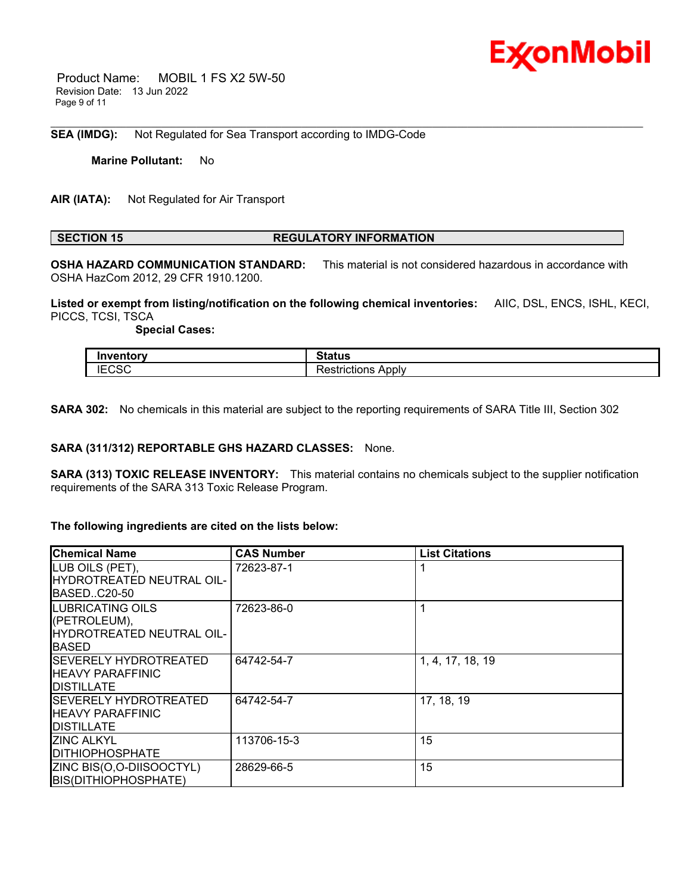

 Product Name: MOBIL 1 FS X2 5W-50 Revision Date: 13 Jun 2022 Page 9 of 11

**SEA (IMDG):** Not Regulated for Sea Transport according to IMDG-Code

**Marine Pollutant:** No

**AIR (IATA):** Not Regulated for Air Transport

#### **SECTION 15 REGULATORY INFORMATION**

**OSHA HAZARD COMMUNICATION STANDARD:** This material is not considered hazardous in accordance with OSHA HazCom 2012, 29 CFR 1910.1200.

\_\_\_\_\_\_\_\_\_\_\_\_\_\_\_\_\_\_\_\_\_\_\_\_\_\_\_\_\_\_\_\_\_\_\_\_\_\_\_\_\_\_\_\_\_\_\_\_\_\_\_\_\_\_\_\_\_\_\_\_\_\_\_\_\_\_\_\_\_\_\_\_\_\_\_\_\_\_\_\_\_\_\_\_\_\_\_\_\_\_\_\_\_\_\_\_\_\_\_\_\_\_\_\_\_\_\_\_\_\_\_\_\_\_\_\_\_\_

**Listed or exempt from listing/notification on the following chemical inventories:** AIIC, DSL, ENCS, ISHL, KECI, PICCS, TCSI, TSCA

 **Special Cases:**

| .              | 24.4                            |
|----------------|---------------------------------|
|                | วเสเนร                          |
| $-0.00$<br>ے د | -<br>Applv<br>`strictions<br>-- |

**SARA 302:** No chemicals in this material are subject to the reporting requirements of SARA Title III, Section 302

### **SARA (311/312) REPORTABLE GHS HAZARD CLASSES:** None.

**SARA (313) TOXIC RELEASE INVENTORY:** This material contains no chemicals subject to the supplier notification requirements of the SARA 313 Toxic Release Program.

#### **The following ingredients are cited on the lists below:**

| <b>IChemical Name</b>            | <b>CAS Number</b> | <b>List Citations</b> |
|----------------------------------|-------------------|-----------------------|
| LUB OILS (PET),                  | 72623-87-1        |                       |
| <b>HYDROTREATED NEUTRAL OIL-</b> |                   |                       |
| IBASEDC20-50                     |                   |                       |
| <b>ILUBRICATING OILS</b>         | 72623-86-0        |                       |
| (PETROLEUM),                     |                   |                       |
| HYDROTREATED NEUTRAL OIL-        |                   |                       |
| IBASED                           |                   |                       |
| <b>SEVERELY HYDROTREATED</b>     | 64742-54-7        | 1, 4, 17, 18, 19      |
| <b>I</b> HEAVY PARAFFINIC        |                   |                       |
| IDISTILLATE                      |                   |                       |
| <b>SEVERELY HYDROTREATED</b>     | 64742-54-7        | 17, 18, 19            |
| <b>I</b> HEAVY PARAFFINIC        |                   |                       |
| IDISTILLATE                      |                   |                       |
| <b>ZINC ALKYL</b>                | 113706-15-3       | 15                    |
| <b>IDITHIOPHOSPHATE</b>          |                   |                       |
| ZINC BIS(O,O-DIISOOCTYL)         | 28629-66-5        | 15                    |
| <b>BIS(DITHIOPHOSPHATE)</b>      |                   |                       |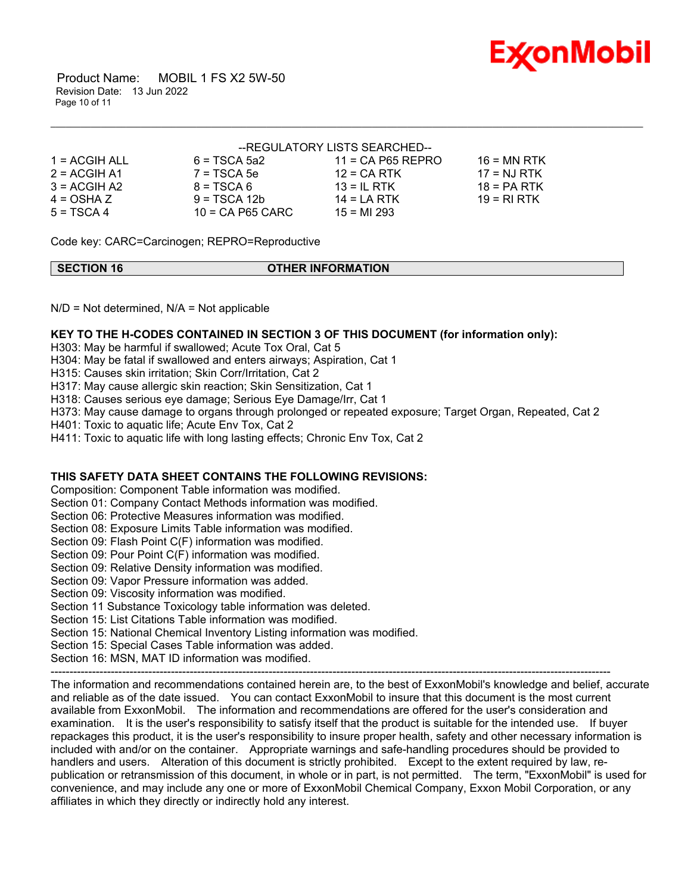

 Product Name: MOBIL 1 FS X2 5W-50 Revision Date: 13 Jun 2022 Page 10 of 11

#### --REGULATORY LISTS SEARCHED--

\_\_\_\_\_\_\_\_\_\_\_\_\_\_\_\_\_\_\_\_\_\_\_\_\_\_\_\_\_\_\_\_\_\_\_\_\_\_\_\_\_\_\_\_\_\_\_\_\_\_\_\_\_\_\_\_\_\_\_\_\_\_\_\_\_\_\_\_\_\_\_\_\_\_\_\_\_\_\_\_\_\_\_\_\_\_\_\_\_\_\_\_\_\_\_\_\_\_\_\_\_\_\_\_\_\_\_\_\_\_\_\_\_\_\_\_\_\_

| $1 = ACGIH ALL$ | $6 = TSCA$ 5a2     | $11 = CA$ P65 REPRO | $16 = MN$ RTK |
|-----------------|--------------------|---------------------|---------------|
| $2 = ACGIH A1$  | $7 = TSCA5e$       | $12$ = CA RTK       | $17 = NJ RTK$ |
| $3 = ACGH A2$   | $8 = TSCA6$        | $13 = IL$ RTK       | $18 = PA RTK$ |
| $4 = OSHA Z$    | $9 = TSCA 12b$     | $14 = I A RTK$      | 19 = RI RTK   |
| $5 = TSCA4$     | $10 = CA$ P65 CARC | $15 = M1 293$       |               |

Code key: CARC=Carcinogen; REPRO=Reproductive

| SECTION 16 | <b>OTHER INFORMATION</b> |
|------------|--------------------------|

 $N/D$  = Not determined,  $N/A$  = Not applicable

### **KEY TO THE H-CODES CONTAINED IN SECTION 3 OF THIS DOCUMENT (for information only):**

H303: May be harmful if swallowed; Acute Tox Oral, Cat 5

H304: May be fatal if swallowed and enters airways; Aspiration, Cat 1

H315: Causes skin irritation; Skin Corr/Irritation, Cat 2

H317: May cause allergic skin reaction; Skin Sensitization, Cat 1

H318: Causes serious eye damage; Serious Eye Damage/Irr, Cat 1

H373: May cause damage to organs through prolonged or repeated exposure; Target Organ, Repeated, Cat 2

H401: Toxic to aquatic life; Acute Env Tox, Cat 2

H411: Toxic to aquatic life with long lasting effects; Chronic Env Tox, Cat 2

### **THIS SAFETY DATA SHEET CONTAINS THE FOLLOWING REVISIONS:**

Composition: Component Table information was modified.

Section 01: Company Contact Methods information was modified.

Section 06: Protective Measures information was modified.

Section 08: Exposure Limits Table information was modified.

Section 09: Flash Point C(F) information was modified.

Section 09: Pour Point C(F) information was modified.

Section 09: Relative Density information was modified.

Section 09: Vapor Pressure information was added.

Section 09: Viscosity information was modified.

Section 11 Substance Toxicology table information was deleted.

Section 15: List Citations Table information was modified.

Section 15: National Chemical Inventory Listing information was modified.

Section 15: Special Cases Table information was added.

Section 16: MSN, MAT ID information was modified.

----------------------------------------------------------------------------------------------------------------------------------------------------- The information and recommendations contained herein are, to the best of ExxonMobil's knowledge and belief, accurate and reliable as of the date issued. You can contact ExxonMobil to insure that this document is the most current available from ExxonMobil. The information and recommendations are offered for the user's consideration and examination. It is the user's responsibility to satisfy itself that the product is suitable for the intended use. If buyer repackages this product, it is the user's responsibility to insure proper health, safety and other necessary information is included with and/or on the container. Appropriate warnings and safe-handling procedures should be provided to handlers and users. Alteration of this document is strictly prohibited. Except to the extent required by law, republication or retransmission of this document, in whole or in part, is not permitted. The term, "ExxonMobil" is used for convenience, and may include any one or more of ExxonMobil Chemical Company, Exxon Mobil Corporation, or any affiliates in which they directly or indirectly hold any interest.